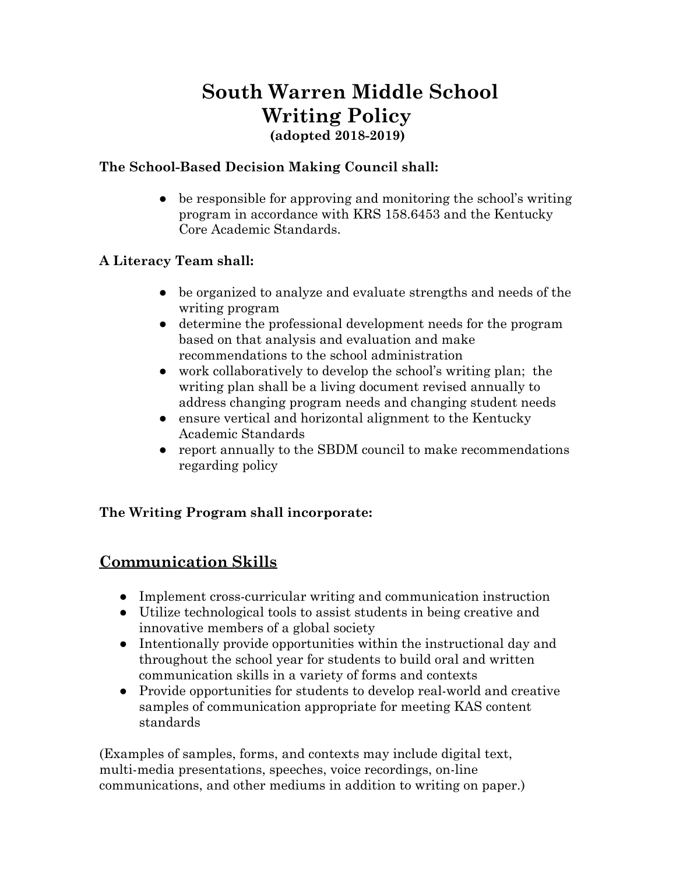# **South Warren Middle School Writing Policy (adopted 2018-2019)**

#### **The School-Based Decision Making Council shall:**

• be responsible for approving and monitoring the school's writing program in accordance with KRS 158.6453 and the Kentucky Core Academic Standards.

#### **A Literacy Team shall:**

- be organized to analyze and evaluate strengths and needs of the writing program
- determine the professional development needs for the program based on that analysis and evaluation and make recommendations to the school administration
- work collaboratively to develop the school's writing plan; the writing plan shall be a living document revised annually to address changing program needs and changing student needs
- ensure vertical and horizontal alignment to the Kentucky Academic Standards
- report annually to the SBDM council to make recommendations regarding policy

#### **The Writing Program shall incorporate:**

### **Communication Skills**

- Implement cross-curricular writing and communication instruction
- Utilize technological tools to assist students in being creative and innovative members of a global society
- Intentionally provide opportunities within the instructional day and throughout the school year for students to build oral and written communication skills in a variety of forms and contexts
- Provide opportunities for students to develop real-world and creative samples of communication appropriate for meeting KAS content standards

(Examples of samples, forms, and contexts may include digital text, multi-media presentations, speeches, voice recordings, on-line communications, and other mediums in addition to writing on paper.)